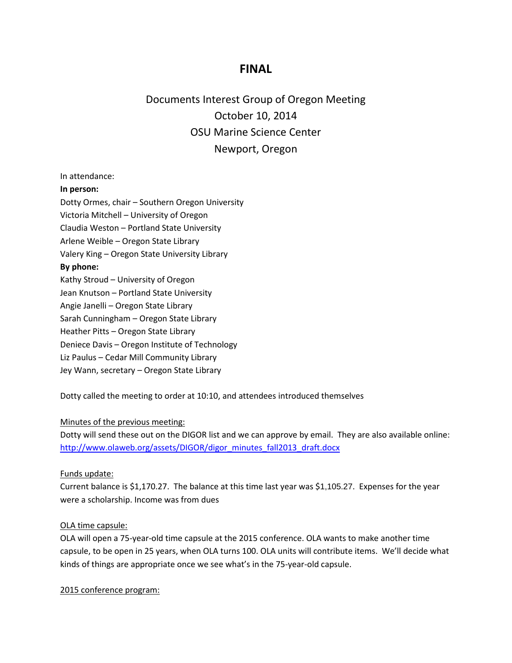# **FINAL**

Documents Interest Group of Oregon Meeting October 10, 2014 OSU Marine Science Center Newport, Oregon

In attendance:

#### **In person:**

Dotty Ormes, chair – Southern Oregon University

Victoria Mitchell – University of Oregon

Claudia Weston – Portland State University

Arlene Weible – Oregon State Library

Valery King – Oregon State University Library

#### **By phone:**

Kathy Stroud – University of Oregon

Jean Knutson – Portland State University

Angie Janelli – Oregon State Library

Sarah Cunningham – Oregon State Library

Heather Pitts – Oregon State Library

Deniece Davis – Oregon Institute of Technology

Liz Paulus – Cedar Mill Community Library

Jey Wann, secretary – Oregon State Library

Dotty called the meeting to order at 10:10, and attendees introduced themselves

#### Minutes of the previous meeting:

Dotty will send these out on the DIGOR list and we can approve by email. They are also available online: [http://www.olaweb.org/assets/DIGOR/digor\\_minutes\\_fall2013\\_draft.docx](http://www.olaweb.org/assets/DIGOR/digor_minutes_fall2013_draft.docx)

#### Funds update:

Current balance is \$1,170.27. The balance at this time last year was \$1,105.27. Expenses for the year were a scholarship. Income was from dues

#### OLA time capsule:

OLA will open a 75-year-old time capsule at the 2015 conference. OLA wants to make another time capsule, to be open in 25 years, when OLA turns 100. OLA units will contribute items. We'll decide what kinds of things are appropriate once we see what's in the 75-year-old capsule.

2015 conference program: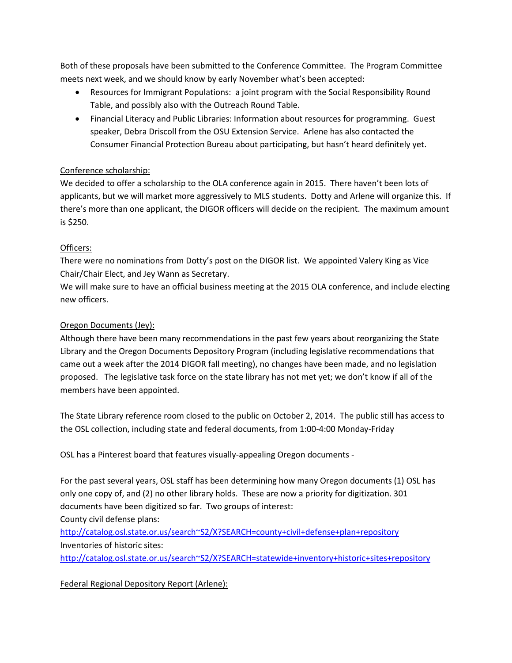Both of these proposals have been submitted to the Conference Committee. The Program Committee meets next week, and we should know by early November what's been accepted:

- Resources for Immigrant Populations: a joint program with the Social Responsibility Round Table, and possibly also with the Outreach Round Table.
- Financial Literacy and Public Libraries: Information about resources for programming. Guest speaker, Debra Driscoll from the OSU Extension Service. Arlene has also contacted the Consumer Financial Protection Bureau about participating, but hasn't heard definitely yet.

## Conference scholarship:

We decided to offer a scholarship to the OLA conference again in 2015. There haven't been lots of applicants, but we will market more aggressively to MLS students. Dotty and Arlene will organize this. If there's more than one applicant, the DIGOR officers will decide on the recipient. The maximum amount is \$250.

### Officers:

There were no nominations from Dotty's post on the DIGOR list. We appointed Valery King as Vice Chair/Chair Elect, and Jey Wann as Secretary.

We will make sure to have an official business meeting at the 2015 OLA conference, and include electing new officers.

## Oregon Documents (Jey):

Although there have been many recommendations in the past few years about reorganizing the State Library and the Oregon Documents Depository Program (including legislative recommendations that came out a week after the 2014 DIGOR fall meeting), no changes have been made, and no legislation proposed. The legislative task force on the state library has not met yet; we don't know if all of the members have been appointed.

The State Library reference room closed to the public on October 2, 2014. The public still has access to the OSL collection, including state and federal documents, from 1:00-4:00 Monday-Friday

OSL has a Pinterest board that features visually-appealing Oregon documents -

For the past several years, OSL staff has been determining how many Oregon documents (1) OSL has only one copy of, and (2) no other library holds. These are now a priority for digitization. 301 documents have been digitized so far. Two groups of interest:

County civil defense plans:

[http://catalog.osl.state.or.us/search~S2/X?SEARCH=county+civil+defense+plan+repository](http://catalog.osl.state.or.us/search%7ES2/X?SEARCH=county+civil+defense+plan+repository) Inventories of historic sites:

[http://catalog.osl.state.or.us/search~S2/X?SEARCH=statewide+inventory+historic+sites+repository](http://catalog.osl.state.or.us/search%7ES2/X?SEARCH=statewide+inventory+historic+sites+repository)

Federal Regional Depository Report (Arlene):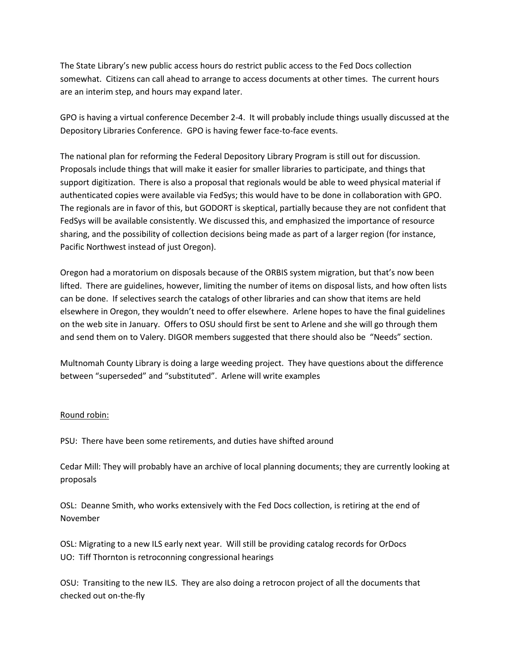The State Library's new public access hours do restrict public access to the Fed Docs collection somewhat. Citizens can call ahead to arrange to access documents at other times. The current hours are an interim step, and hours may expand later.

GPO is having a virtual conference December 2-4. It will probably include things usually discussed at the Depository Libraries Conference. GPO is having fewer face-to-face events.

The national plan for reforming the Federal Depository Library Program is still out for discussion. Proposals include things that will make it easier for smaller libraries to participate, and things that support digitization. There is also a proposal that regionals would be able to weed physical material if authenticated copies were available via FedSys; this would have to be done in collaboration with GPO. The regionals are in favor of this, but GODORT is skeptical, partially because they are not confident that FedSys will be available consistently. We discussed this, and emphasized the importance of resource sharing, and the possibility of collection decisions being made as part of a larger region (for instance, Pacific Northwest instead of just Oregon).

Oregon had a moratorium on disposals because of the ORBIS system migration, but that's now been lifted. There are guidelines, however, limiting the number of items on disposal lists, and how often lists can be done. If selectives search the catalogs of other libraries and can show that items are held elsewhere in Oregon, they wouldn't need to offer elsewhere. Arlene hopes to have the final guidelines on the web site in January. Offers to OSU should first be sent to Arlene and she will go through them and send them on to Valery. DIGOR members suggested that there should also be "Needs" section.

Multnomah County Library is doing a large weeding project. They have questions about the difference between "superseded" and "substituted". Arlene will write examples

#### Round robin:

PSU: There have been some retirements, and duties have shifted around

Cedar Mill: They will probably have an archive of local planning documents; they are currently looking at proposals

OSL: Deanne Smith, who works extensively with the Fed Docs collection, is retiring at the end of November

OSL: Migrating to a new ILS early next year. Will still be providing catalog records for OrDocs UO: Tiff Thornton is retroconning congressional hearings

OSU: Transiting to the new ILS. They are also doing a retrocon project of all the documents that checked out on-the-fly